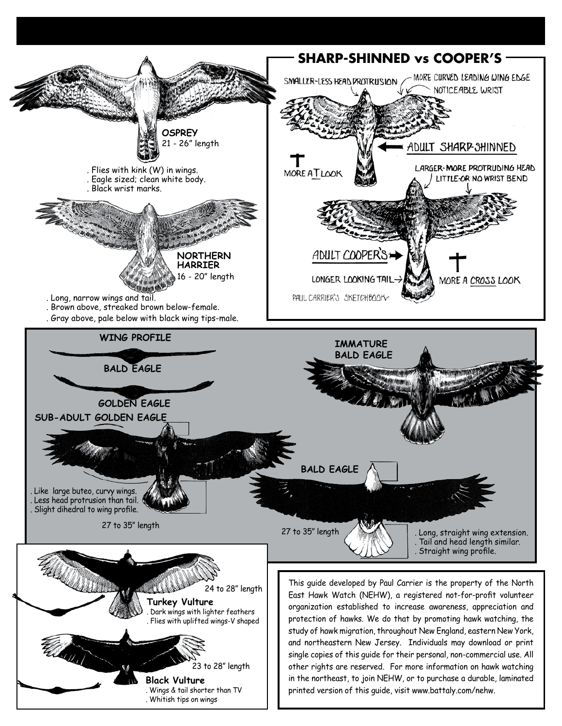